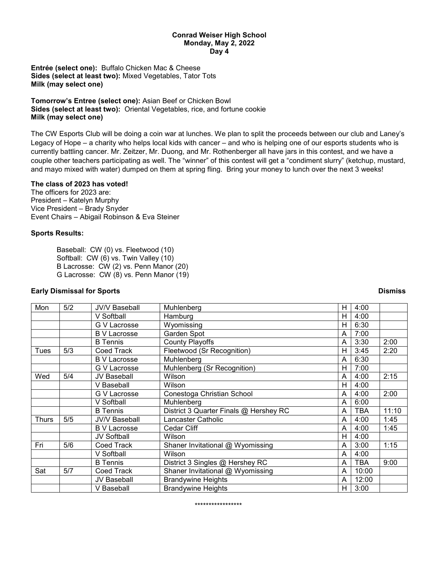### **Conrad Weiser High School Monday, May 2, 2022 Day 4**

**Entrée (select one):** Buffalo Chicken Mac & Cheese **Sides (select at least two):** Mixed Vegetables, Tator Tots **Milk (may select one)**

**Tomorrow's Entree (select one):** Asian Beef or Chicken Bowl **Sides (select at least two):** Oriental Vegetables, rice, and fortune cookie **Milk (may select one)**

The CW Esports Club will be doing a coin war at lunches. We plan to split the proceeds between our club and Laney's Legacy of Hope – a charity who helps local kids with cancer – and who is helping one of our esports students who is currently battling cancer. Mr. Zeitzer, Mr. Duong, and Mr. Rothenberger all have jars in this contest, and we have a couple other teachers participating as well. The "winner" of this contest will get a "condiment slurry" (ketchup, mustard, and mayo mixed with water) dumped on them at spring fling. Bring your money to lunch over the next 3 weeks!

### **The class of 2023 has voted!**

The officers for 2023 are: President – Katelyn Murphy Vice President – Brady Snyder Event Chairs – Abigail Robinson & Eva Steiner

# **Sports Results:**

Baseball: CW (0) vs. Fleetwood (10) Softball: CW (6) vs. Twin Valley (10) B Lacrosse: CW (2) vs. Penn Manor (20) G Lacrosse: CW (8) vs. Penn Manor (19)

## **Early Dismissal for Sports Dismiss**

| Mon   | 5/2 | <b>JV/V Baseball</b> | Muhlenberg                             | н | 4:00  |       |
|-------|-----|----------------------|----------------------------------------|---|-------|-------|
|       |     | V Softball           | Hamburg                                | н | 4:00  |       |
|       |     | G V Lacrosse         | Wyomissing                             | H | 6:30  |       |
|       |     | <b>B</b> V Lacrosse  | Garden Spot                            | A | 7:00  |       |
|       |     | <b>B</b> Tennis      | <b>County Playoffs</b>                 | A | 3:30  | 2:00  |
| Tues  | 5/3 | Coed Track           | Fleetwood (Sr Recognition)             | Н | 3:45  | 2:20  |
|       |     | <b>B</b> V Lacrosse  | Muhlenberg                             | A | 6:30  |       |
|       |     | G V Lacrosse         | Muhlenberg (Sr Recognition)            | н | 7:00  |       |
| Wed   | 5/4 | JV Baseball          | Wilson                                 | A | 4:00  | 2:15  |
|       |     | V Baseball           | Wilson                                 | н | 4:00  |       |
|       |     | G V Lacrosse         | Conestoga Christian School             | A | 4:00  | 2:00  |
|       |     | V Softball           | Muhlenberg                             | A | 6:00  |       |
|       |     | <b>B</b> Tennis      | District 3 Quarter Finals @ Hershey RC | A | TBA   | 11:10 |
| Thurs | 5/5 | <b>JV/V Baseball</b> | Lancaster Catholic                     | A | 4:00  | 1:45  |
|       |     | <b>B</b> V Lacrosse  | Cedar Cliff                            | A | 4:00  | 1:45  |
|       |     | <b>JV Softball</b>   | Wilson                                 | н | 4:00  |       |
| Fri   | 5/6 | Coed Track           | Shaner Invitational @ Wyomissing       | A | 3:00  | 1:15  |
|       |     | V Softball           | Wilson                                 | A | 4:00  |       |
|       |     | <b>B</b> Tennis      | District 3 Singles @ Hershey RC        | A | TBA   | 9:00  |
| Sat   | 5/7 | Coed Track           | Shaner Invitational @ Wyomissing       | A | 10:00 |       |
|       |     | <b>JV Baseball</b>   | <b>Brandywine Heights</b>              | A | 12:00 |       |
|       |     | V Baseball           | <b>Brandywine Heights</b>              | H | 3:00  |       |

#### \*\*\*\*\*\*\*\*\*\*\*\*\*\*\*\*\*